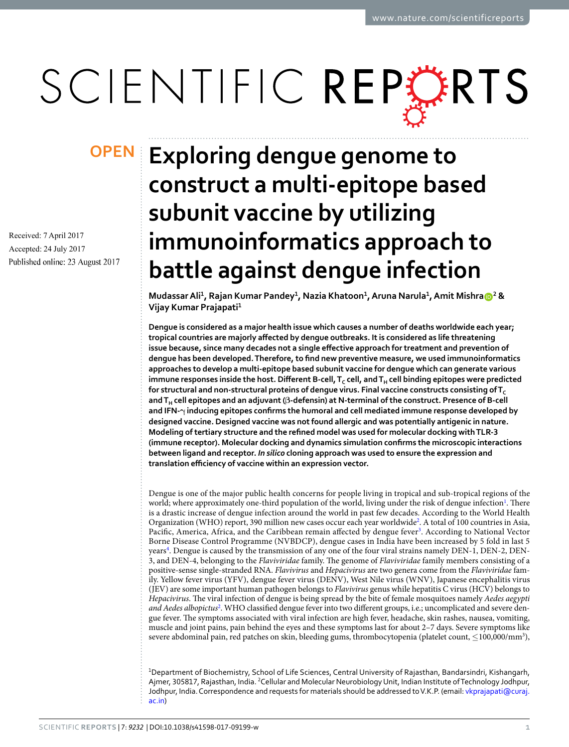# SCIENTIFIC REPERTS

Received: 7 April 2017 Accepted: 24 July 2017 Published online: 23 August 2017

## **exploring dengue genome to opeNconstruct a multi-epitope based subunit vaccine by utilizing immunoinformatics approach to battle against dengue infection**

**Mudassar Ali<sup>1</sup> , Rajan Kumar pandey<sup>1</sup> , Nazia Khatoon<sup>1</sup> , Aruna Narula<sup>1</sup> , Amit Mishra <sup>2</sup> & Vijay Kumar prajapati<sup>1</sup>**

**Dengue is considered as a major health issue which causes a number of deaths worldwide each year; tropical countries are majorly affected by dengue outbreaks. It is considered as life threatening issue because, since many decades not a single effective approach for treatment and prevention of dengue has been developed. Therefore, to find new preventive measure, we used immunoinformatics approaches to develop a multi-epitope based subunit vaccine for dengue which can generate various immune responses inside the host. Different B-cell, T<sup>C</sup> cell, and TH cell binding epitopes were predicted**  for structural and non-structural proteins of dengue virus. Final vaccine constructs consisting of T<sub>C</sub> **and TH cell epitopes and an adjuvant (β-defensin) at N-terminal of the construct. Presence of B-cell and IFN-γ inducing epitopes confirms the humoral and cell mediated immune response developed by designed vaccine. Designed vaccine was not found allergic and was potentially antigenic in nature. Modeling of tertiary structure and the refined model was used for molecular docking with TLR-3 (immune receptor). Molecular docking and dynamics simulation confirms the microscopic interactions between ligand and receptor.** *In silico* **cloning approach was used to ensure the expression and translation efficiency of vaccine within an expression vector.**

Dengue is one of the major public health concerns for people living in tropical and sub-tropical regions of the world; where approximately one-third population of the world, living under the risk of dengue infection<sup>1</sup>. There is a drastic increase of dengue infection around the world in past few decades. According to the World Health Organization (WHO) report, 390 million new cases occur each year worldwide<sup>2</sup>. A total of 100 countries in Asia, Pacific, America, Africa, and the Caribbean remain affected by dengue fever<sup>3</sup>. According to National Vector Borne Disease Control Programme (NVBDCP), dengue cases in India have been increased by 5 fold in last 5 years<sup>4</sup>. Dengue is caused by the transmission of any one of the four viral strains namely DEN-1, DEN-2, DEN-3, and DEN-4, belonging to the Flaviviridae family. The genome of Flaviviridae family members consisting of a positive-sense single-stranded RNA. Flavivirus and Hepacivirus are two genera come from the Flaviviridae family. Yellow fever virus (YFV), dengue fever virus (DENV), West Nile virus (WNV), Japanese encephalitis virus (JEV) are some important human pathogen belongs to Flavivirus genus while hepatitis C virus (HCV) belongs to Hepacivirus. The viral infection of dengue is being spread by the bite of female mosquitoes namely Aedes aegypti and Aedes albopictus<sup>2</sup>. WHO classified dengue fever into two different groups, i.e.; uncomplicated and severe dengue fever. The symptoms associated with viral infection are high fever, headache, skin rashes, nausea, vomiting, muscle and joint pains, pain behind the eyes and these symptoms last for about 2–7 days. Severe symptoms like severe abdominal pain, red patches on skin, bleeding gums, thrombocytopenia (platelet count, ≤100,000/mm<sup>3</sup>),

<sup>1</sup>Department of Biochemistry, School of Life Sciences, central University of Rajasthan, Bandarsindri, Kishangarh, Ajmer, 305817, Rajasthan, India. <sup>2</sup>Cellular and Molecular Neurobiology Unit, Indian Institute of Technology Jodhpur, Jodhpur, India. Correspondence and requests for materials should be addressed to V.K.P. (email: vkprajapati@curaj. ac.in)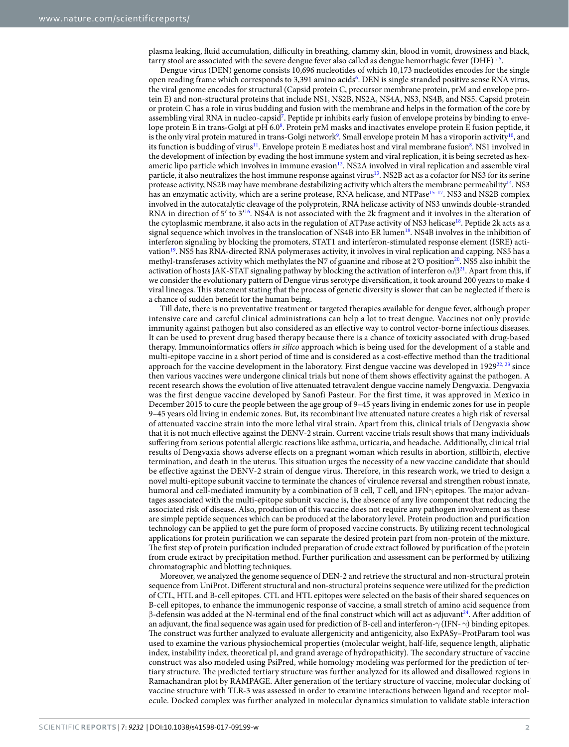plasma leaking, fluid accumulation, difficulty in breathing, clammy skin, blood in vomit, drowsiness and black, tarry stool are associated with the severe dengue fever also called as dengue hemorrhagic fever (DHF) $^{1,5}$ .

Dengue virus (DEN) genome consists 10,696 nucleotides of which 10,173 nucleotides encodes for the single open reading frame which corresponds to 3,391 amino acids<sup>6</sup>. DEN is single stranded positive sense RNA virus, the viral genome encodes for structural (Capsid protein C, precursor membrane protein, prM and envelope protein E) and non-structural proteins that include NS1, NS2B, NS2A, NS4A, NS3, NS4B, and NS5. Capsid protein or protein C has a role in virus budding and fusion with the membrane and helps in the formation of the core by assembling viral RNA in nucleo-capsid<sup>7</sup>. Peptide pr inhibits early fusion of envelope proteins by binding to envelope protein E in trans-Golgi at pH 6.08. Protein prM masks and inactivates envelope protein E fusion peptide, it is the only viral protein matured in trans-Golgi network<sup>9</sup>. Small envelope protein M has a viroporin activity<sup>10</sup>, and its function is budding of virus<sup>11</sup>. Envelope protein E mediates host and viral membrane fusion<sup>8</sup>. NS1 involved in the development of infection by evading the host immune system and viral replication, it is being secreted as hexameric lipo particle which involves in immune evasion<sup>12</sup>. NS2A involved in viral replication and assemble viral particle, it also neutralizes the host immune response against virus<sup>13</sup>. NS2B act as a cofactor for NS3 for its serine protease activity, NS2B may have membrane destabilizing activity which alters the membrane permeability<sup>14</sup>. NS3 has an enzymatic activity, which are a serine protease, RNA helicase, and NTPase<sup>15-17</sup>. NS3 and NS2B complex involved in the autocatalytic cleavage of the polyprotein, RNA helicase activity of NS3 unwinds double-stranded RNA in direction of  $5'$  to  $3'$ <sup>16</sup>. NS4A is not associated with the 2k fragment and it involves in the alteration of the cytoplasmic membrane, it also acts in the regulation of ATPase activity of NS3 helicase<sup>18</sup>. Peptide 2k acts as a signal sequence which involves in the translocation of NS4B into ER lumen<sup>18</sup>. NS4B involves in the inhibition of interferon signaling by blocking the promoters, STAT1 and interferon-stimulated response element (ISRE) activation<sup>19</sup>. NS5 has RNA-directed RNA polymerases activity, it involves in viral replication and capping. NS5 has a methyl-transferases activity which methylates the N7 of guanine and ribose at 2<sup>′</sup>O position<sup>20</sup>. NS5 also inhibit the activation of hosts JAK-STAT signaling pathway by blocking the activation of interferon  $\alpha/\beta^{21}$ . Apart from this, if we consider the evolutionary pattern of Dengue virus serotype diversification, it took around 200 years to make 4 viral lineages. This statement stating that the process of genetic diversity is slower that can be neglected if there is a chance of sudden benefit for the human being.

Till date, there is no preventative treatment or targeted therapies available for dengue fever, although proper intensive care and careful clinical administrations can help a lot to treat dengue. Vaccines not only provide immunity against pathogen but also considered as an effective way to control vector-borne infectious diseases. It can be used to prevent drug based therapy because there is a chance of toxicity associated with drug-based therapy. Immunoinformatics offers in silico approach which is being used for the development of a stable and multi-epitope vaccine in a short period of time and is considered as a cost-effective method than the traditional approach for the vaccine development in the laboratory. First dengue vaccine was developed in  $1929^{22}$ ,  $^{23}$  since then various vaccines were undergone clinical trials but none of them shows effectivity against the pathogen. A recent research shows the evolution of live attenuated tetravalent dengue vaccine namely Dengvaxia. Dengvaxia was the first dengue vaccine developed by Sanofi Pasteur. For the first time, it was approved in Mexico in December 2015 to cure the people between the age group of 9–45 years living in endemic zones for use in people 9–45 years old living in endemic zones. But, its recombinant live attenuated nature creates a high risk of reversal of attenuated vaccine strain into the more lethal viral strain. Apart from this, clinical trials of Dengvaxia show that it is not much effective against the DENV-2 strain. Current vaccine trials result shows that many individuals suffering from serious potential allergic reactions like asthma, urticaria, and headache. Additionally, clinical trial results of Dengvaxia shows adverse effects on a pregnant woman which results in abortion, stillbirth, elective termination, and death in the uterus. This situation urges the necessity of a new vaccine candidate that should be effective against the DENV-2 strain of dengue virus. Therefore, in this research work, we tried to design a novel multi-epitope subunit vaccine to terminate the chances of virulence reversal and strengthen robust innate, humoral and cell-mediated immunity by a combination of B cell, T cell, and IFNγ epitopes. The major advantages associated with the multi-epitope subunit vaccine is, the absence of any live component that reducing the associated risk of disease. Also, production of this vaccine does not require any pathogen involvement as these are simple peptide sequences which can be produced at the laboratory level. Protein production and purification technology can be applied to get the pure form of proposed vaccine constructs. By utilizing recent technological applications for protein purification we can separate the desired protein part from non-protein of the mixture. The first step of protein purification included preparation of crude extract followed by purification of the protein from crude extract by precipitation method. Further purification and assessment can be performed by utilizing chromatographic and blotting techniques.

Moreover, we analyzed the genome sequence of DEN-2 and retrieve the structural and non-structural protein sequence from UniProt. Different structural and non-structural proteins sequence were utilized for the prediction of CTL, HTL and B-cell epitopes. CTL and HTL epitopes were selected on the basis of their shared sequences on B-cell epitopes, to enhance the immunogenic response of vaccine, a small stretch of amino acid sequence from  $\beta$ -defensin was added at the N-terminal end of the final construct which will act as adjuvant<sup>24</sup>. After addition of an adjuvant, the final sequence was again used for prediction of B-cell and interferon- $\gamma$  (IFN-  $\gamma$ ) binding epitopes. The construct was further analyzed to evaluate allergenicity and antigenicity, also ExPASy–ProtParam tool was used to examine the various physiochemical properties (molecular weight, half-life, sequence length, aliphatic index, instability index, theoretical pI, and grand average of hydropathicity). The secondary structure of vaccine construct was also modeled using PsiPred, while homology modeling was performed for the prediction of tertiary structure. The predicted tertiary structure was further analyzed for its allowed and disallowed regions in Ramachandran plot by RAMPAGE. After generation of the tertiary structure of vaccine, molecular docking of vaccine structure with TLR-3 was assessed in order to examine interactions between ligand and receptor molecule. Docked complex was further analyzed in molecular dynamics simulation to validate stable interaction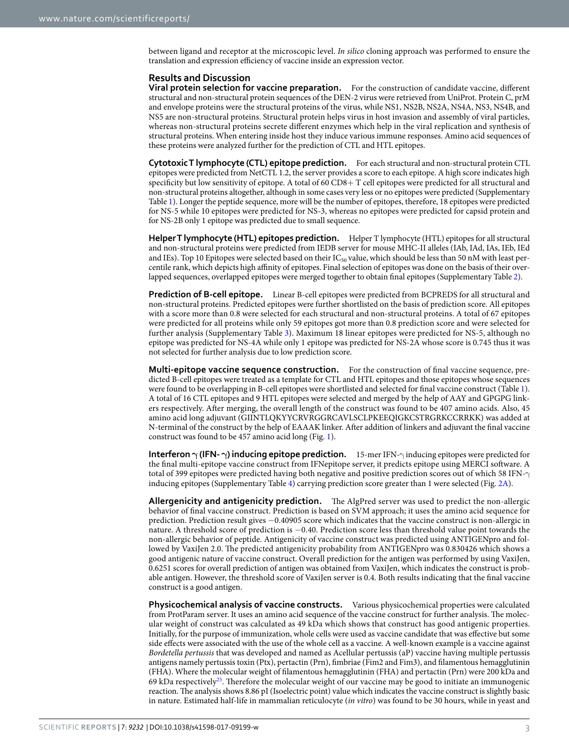between ligand and receptor at the microscopic level. In silico cloning approach was performed to ensure the translation and expression efficiency of vaccine inside an expression vector.

#### **Results and Discussion**

**Viral protein selection for vaccine preparation.** For the construction of candidate vaccine, different structural and non-structural protein sequences of the DEN-2 virus were retrieved from UniProt. Protein C, prM and envelope proteins were the structural proteins of the virus, while NS1, NS2B, NS2A, NS4A, NS3, NS4B, and NS5 are non-structural proteins. Structural protein helps virus in host invasion and assembly of viral particles, whereas non-structural proteins secrete different enzymes which help in the viral replication and synthesis of structural proteins. When entering inside host they induce various immune responses. Amino acid sequences of these proteins were analyzed further for the prediction of CTL and HTL epitopes.

**Cytotoxic T lymphocyte (CTL) epitope prediction.** For each structural and non-structural protein CTL epitopes were predicted from NetCTL 1.2, the server provides a score to each epitope. A high score indicates high specificity but low sensitivity of epitope. A total of 60 CD8+ T cell epitopes were predicted for all structural and non-structural proteins altogether, although in some cases very less or no epitopes were predicted (Supplementary Table 1). Longer the peptide sequence, more will be the number of epitopes, therefore, 18 epitopes were predicted for NS-5 while 10 epitopes were predicted for NS-3, whereas no epitopes were predicted for capsid protein and for NS-2B only 1 epitope was predicted due to small sequence.

**Helper T lymphocyte (HTL) epitopes prediction.** Helper T lymphocyte (HTL) epitopes for all structural and non-structural proteins were predicted from IEDB server for mouse MHC-II alleles (IAb, IAd, IAs, IEb, IEd and IEs). Top 10 Epitopes were selected based on their  $IC_{50}$  value, which should be less than 50 nM with least percentile rank, which depicts high affinity of epitopes. Final selection of epitopes was done on the basis of their overlapped sequences, overlapped epitopes were merged together to obtain final epitopes (Supplementary Table 2).

**Prediction of B-cell epitope.** Linear B-cell epitopes were predicted from BCPREDS for all structural and non-structural proteins. Predicted epitopes were further shortlisted on the basis of prediction score. All epitopes with a score more than 0.8 were selected for each structural and non-structural proteins. A total of 67 epitopes were predicted for all proteins while only 59 epitopes got more than 0.8 prediction score and were selected for further analysis (Supplementary Table 3). Maximum 18 linear epitopes were predicted for NS-5, although no epitope was predicted for NS-4A while only 1 epitope was predicted for NS-2A whose score is 0.745 thus it was not selected for further analysis due to low prediction score.

**Multi-epitope vaccine sequence construction.** For the construction of final vaccine sequence, predicted B-cell epitopes were treated as a template for CTL and HTL epitopes and those epitopes whose sequences were found to be overlapping in B-cell epitopes were shortlisted and selected for final vaccine construct (Table 1). A total of 16 CTL epitopes and 9 HTL epitopes were selected and merged by the help of AAY and GPGPG linkers respectively. After merging, the overall length of the construct was found to be 407 amino acids. Also, 45 amino acid long adjuvant (GIINTLQKYYCRVRGGRCAVLSCLPKEEQIGKCSTRGRKCCRRKK) was added at N-terminal of the construct by the help of EAAAK linker. After addition of linkers and adjuvant the final vaccine construct was found to be 457 amino acid long (Fig. 1).

**Interferon γ (IFN- γ) inducing epitope prediction.** 15-mer IFN-γ inducing epitopes were predicted for the final multi-epitope vaccine construct from IFNepitope server, it predicts epitope using MERCI software. A total of 399 epitopes were predicted having both negative and positive prediction scores out of which 58 IFN-γ inducing epitopes (Supplementary Table 4) carrying prediction score greater than 1 were selected (Fig. 2A).

**Allergenicity and antigenicity prediction.** The AlgPred server was used to predict the non-allergic behavior of final vaccine construct. Prediction is based on SVM approach; it uses the amino acid sequence for prediction. Prediction result gives −0.40905 score which indicates that the vaccine construct is non-allergic in nature. A threshold score of prediction is −0.40. Prediction score less than threshold value point towards the non-allergic behavior of peptide. Antigenicity of vaccine construct was predicted using ANTIGENpro and followed by VaxiJen 2.0. The predicted antigenicity probability from ANTIGENpro was 0.830426 which shows a good antigenic nature of vaccine construct. Overall prediction for the antigen was performed by using VaxiJen, 0.6251 scores for overall prediction of antigen was obtained from VaxiJen, which indicates the construct is probable antigen. However, the threshold score of VaxiJen server is 0.4. Both results indicating that the final vaccine construct is a good antigen.

**Physicochemical analysis of vaccine constructs.** Various physicochemical properties were calculated from ProtParam server. It uses an amino acid sequence of the vaccine construct for further analysis. The molecular weight of construct was calculated as 49 kDa which shows that construct has good antigenic properties. Initially, for the purpose of immunization, whole cells were used as vaccine candidate that was effective but some side effects were associated with the use of the whole cell as a vaccine. A well-known example is a vaccine against Bordetella pertussis that was developed and named as Acellular pertussis (aP) vaccine having multiple pertussis antigens namely pertussis toxin (Ptx), pertactin (Prn), fimbriae (Fim2 and Fim3), and filamentous hemagglutinin (FHA). Where the molecular weight of filamentous hemagglutinin (FHA) and pertactin (Prn) were 200 kDa and 69 kDa respectively<sup>25</sup>. Therefore the molecular weight of our vaccine may be good to initiate an immunogenic reaction. The analysis shows 8.86 pI (Isoelectric point) value which indicates the vaccine construct is slightly basic in nature. Estimated half-life in mammalian reticulocyte (in vitro) was found to be 30 hours, while in yeast and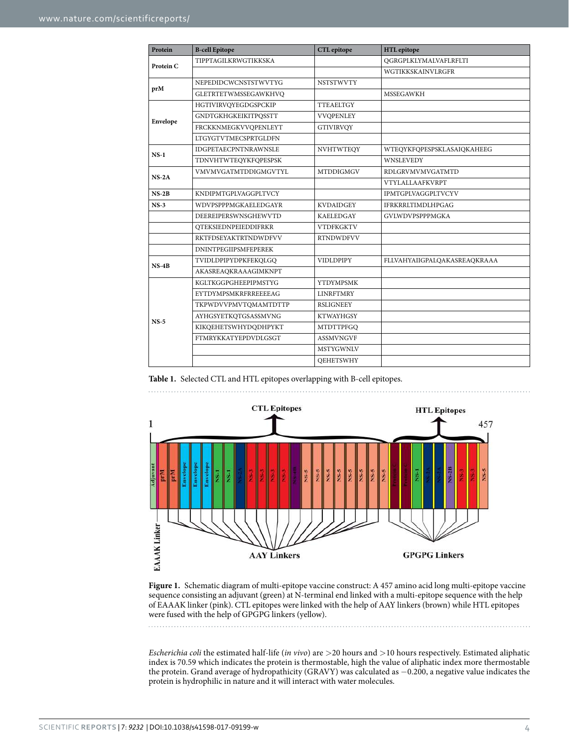| Protein   | <b>B-cell Epitope</b>       | <b>CTL</b> epitope | <b>HTL</b> epitope           |
|-----------|-----------------------------|--------------------|------------------------------|
| Protein C | TIPPTAGILKRWGTIKKSKA        |                    | QGRGPLKLYMALVAFLRFLTI        |
|           |                             |                    | WGTIKKSKAINVLRGFR            |
| prM       | NEPEDIDCWCNSTSTWVTYG        | <b>NSTSTWVTY</b>   |                              |
|           | GLETRTETWMSSEGAWKHVQ        |                    | <b>MSSEGAWKH</b>             |
| Envelope  | HGTIVIRVQYEGDGSPCKIP        | <b>TTEAELTGY</b>   |                              |
|           | <b>GNDTGKHGKEIKITPQSSTT</b> | <b>VVOPENLEY</b>   |                              |
|           | FRCKKNMEGKVVQPENLEYT        | <b>GTIVIRVOY</b>   |                              |
|           | <b>LTGYGTVTMECSPRTGLDFN</b> |                    |                              |
| $NS-1$    | <b>IDGPETAECPNTNRAWNSLE</b> | <b>NVHTWTEQY</b>   | WTEQYKFQPESPSKLASAIQKAHEEG   |
|           | TDNVHTWTEQYKFQPESPSK        |                    | WNSLEVEDY                    |
| $NS-2A$   | VMVMVGATMTDDIGMGVTYL        | <b>MTDDIGMGV</b>   | RDLGRVMVMVGATMTD             |
|           |                             |                    | VTYLALLAAFKVRPT              |
| $NS-2B$   | KNDIPMTGPLVAGGPLTVCY        |                    | IPMTGPLVAGGPLTVCYV           |
| $NS-3$    | WDVPSPPPMGKAELEDGAYR        | <b>KVDAIDGEY</b>   | <b>IFRKRRLTIMDLHPGAG</b>     |
|           | DEEREIPERSWNSGHEWVTD        | <b>KAELEDGAY</b>   | GVLWDVPSPPPMGKA              |
|           | <b>QTEKSIEDNPEIEDDIFRKR</b> | <b>VTDFKGKTV</b>   |                              |
|           | <b>RKTFDSEYAKTRTNDWDFVV</b> | <b>RTNDWDFVV</b>   |                              |
|           | <b>DNINTPEGIIPSMFEPEREK</b> |                    |                              |
| $NS-4B$   | TVIDLDPIPYDPKFEKQLGQ        | <b>VIDLDPIPY</b>   | FLLVAHYAIIGPALQAKASREAQKRAAA |
|           | AKASREAQKRAAAGIMKNPT        |                    |                              |
| $NS-5$    | KGLTKGGPGHEEPIPMSTYG        | <b>YTDYMPSMK</b>   |                              |
|           | EYTDYMPSMKRFRREEEEAG        | <b>LINRFTMRY</b>   |                              |
|           | TKPWDVVPMVTQMAMTDTTP        | <b>RSLIGNEEY</b>   |                              |
|           | AYHGSYETKQTGSASSMVNG        | <b>KTWAYHGSY</b>   |                              |
|           | KIKQEHETSWHYDQDHPYKT        | <b>MTDTTPFGQ</b>   |                              |
|           | <b>FTMRYKKATYEPDVDLGSGT</b> | <b>ASSMVNGVF</b>   |                              |
|           |                             | <b>MSTYGWNLV</b>   |                              |
|           |                             | <b>QEHETSWHY</b>   |                              |

**Table 1.** Selected CTL and HTL epitopes overlapping with B-cell epitopes.



**Figure 1.** Schematic diagram of multi-epitope vaccine construct: A 457 amino acid long multi-epitope vaccine sequence consisting an adjuvant (green) at N-terminal end linked with a multi-epitope sequence with the help of EAAAK linker (pink). CTL epitopes were linked with the help of AAY linkers (brown) while HTL epitopes were fused with the help of GPGPG linkers (yellow).

Escherichia coli the estimated half-life (in vivo) are >20 hours and >10 hours respectively. Estimated aliphatic index is 70.59 which indicates the protein is thermostable, high the value of aliphatic index more thermostable the protein. Grand average of hydropathicity (GRAVY) was calculated as −0.200, a negative value indicates the protein is hydrophilic in nature and it will interact with water molecules.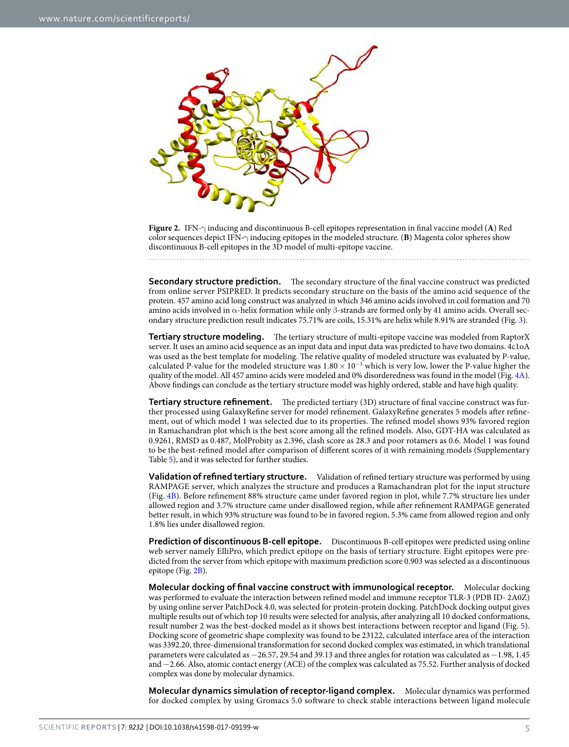

**Figure 2.** IFN-γ inducing and discontinuous B-cell epitopes representation in final vaccine model (**A**) Red color sequences depict IFN**-**γ inducing epitopes in the modeled structure. (**B**) Magenta color spheres show discontinuous B-cell epitopes in the 3D model of multi-epitope vaccine.

**Secondary structure prediction.** The secondary structure of the final vaccine construct was predicted from online server PSIPRED. It predicts secondary structure on the basis of the amino acid sequence of the protein. 457 amino acid long construct was analyzed in which 346 amino acids involved in coil formation and 70 amino acids involved in α-helix formation while only β-strands are formed only by 41 amino acids. Overall secondary structure prediction result indicates 75.71% are coils, 15.31% are helix while 8.91% are stranded (Fig. 3).

**Tertiary structure modeling.** The tertiary structure of multi-epitope vaccine was modeled from RaptorX server. It uses an amino acid sequence as an input data and input data was predicted to have two domains. 4c1oA was used as the best template for modeling. The relative quality of modeled structure was evaluated by P-value, calculated P-value for the modeled structure was  $1.80 \times 10^{-3}$  which is very low, lower the P-value higher the quality of the model. All 457 amino acids were modeled and 0% disorderedness was found in the model (Fig. 4A). Above findings can conclude as the tertiary structure model was highly ordered, stable and have high quality.

**Tertiary structure refinement.** The predicted tertiary (3D) structure of final vaccine construct was further processed using GalaxyRefine server for model refinement. GalaxyRefine generates 5 models after refinement, out of which model 1 was selected due to its properties. The refined model shows 93% favored region in Ramachandran plot which is the best score among all the refined models. Also, GDT-HA was calculated as 0.9261, RMSD as 0.487, MolProbity as 2.396, clash score as 28.3 and poor rotamers as 0.6. Model 1 was found to be the best-refined model after comparison of different scores of it with remaining models (Supplementary Table 5), and it was selected for further studies.

**Validation of refined tertiary structure.** Validation of refined tertiary structure was performed by using RAMPAGE server, which analyzes the structure and produces a Ramachandran plot for the input structure (Fig. 4B). Before refinement 88% structure came under favored region in plot, while 7.7% structure lies under allowed region and 3.7% structure came under disallowed region, while after refinement RAMPAGE generated better result, in which 93% structure was found to be in favored region, 5.3% came from allowed region and only 1.8% lies under disallowed region.

**Prediction of discontinuous B-cell epitope.** Discontinuous B-cell epitopes were predicted using online web server namely ElliPro, which predict epitope on the basis of tertiary structure. Eight epitopes were predicted from the server from which epitope with maximum prediction score 0.903 was selected as a discontinuous epitope (Fig. 2B).

**Molecular docking of final vaccine construct with immunological receptor.** Molecular docking was performed to evaluate the interaction between refined model and immune receptor TLR-3 (PDB ID- 2A0Z) by using online server PatchDock 4.0, was selected for protein-protein docking. PatchDock docking output gives multiple results out of which top 10 results were selected for analysis, after analyzing all 10 docked conformations, result number 2 was the best-docked model as it shows best interactions between receptor and ligand (Fig. 5). Docking score of geometric shape complexity was found to be 23122, calculated interface area of the interaction was 3392.20, three-dimensional transformation for second docked complex was estimated, in which translational parameters were calculated as −26.57, 29.54 and 39.13 and three angles for rotation was calculated as −1.98, 1.45 and −2.66. Also, atomic contact energy (ACE) of the complex was calculated as 75.52. Further analysis of docked complex was done by molecular dynamics.

**Molecular dynamics simulation of receptor-ligand complex.** Molecular dynamics was performed for docked complex by using Gromacs 5.0 software to check stable interactions between ligand molecule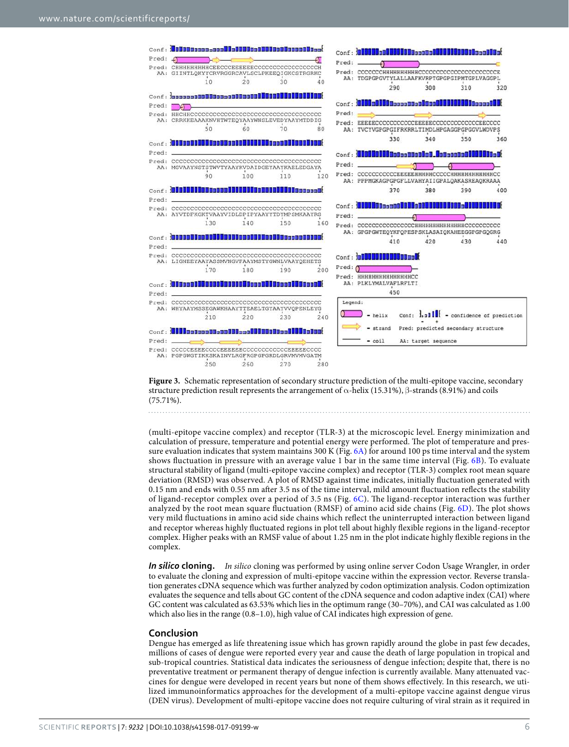

**Figure 3.** Schematic representation of secondary structure prediction of the multi-epitope vaccine, secondary structure prediction result represents the arrangement of  $\alpha$ -helix (15.31%),  $\beta$ -strands (8.91%) and coils (75.71%).

(multi-epitope vaccine complex) and receptor (TLR-3) at the microscopic level. Energy minimization and calculation of pressure, temperature and potential energy were performed. The plot of temperature and pressure evaluation indicates that system maintains 300 K (Fig. 6A) for around 100 ps time interval and the system shows fluctuation in pressure with an average value 1 bar in the same time interval (Fig. 6B). To evaluate structural stability of ligand (multi-epitope vaccine complex) and receptor (TLR-3) complex root mean square deviation (RMSD) was observed. A plot of RMSD against time indicates, initially fluctuation generated with 0.15 nm and ends with 0.55 nm after 3.5 ns of the time interval, mild amount fluctuation reflects the stability of ligand-receptor complex over a period of 3.5 ns (Fig. 6C). The ligand-receptor interaction was further analyzed by the root mean square fluctuation (RMSF) of amino acid side chains (Fig. 6D). The plot shows very mild fluctuations in amino acid side chains which reflect the uninterrupted interaction between ligand and receptor whereas highly fluctuated regions in plot tell about highly flexible regions in the ligand-receptor complex. Higher peaks with an RMSF value of about 1.25 nm in the plot indicate highly flexible regions in the complex.

*In silico* **cloning.** In silico cloning was performed by using online server Codon Usage Wrangler, in order to evaluate the cloning and expression of multi-epitope vaccine within the expression vector. Reverse translation generates cDNA sequence which was further analyzed by codon optimization analysis. Codon optimization evaluates the sequence and tells about GC content of the cDNA sequence and codon adaptive index (CAI) where GC content was calculated as 63.53% which lies in the optimum range (30–70%), and CAI was calculated as 1.00 which also lies in the range (0.8–1.0), high value of CAI indicates high expression of gene.

#### **Conclusion**

Dengue has emerged as life threatening issue which has grown rapidly around the globe in past few decades, millions of cases of dengue were reported every year and cause the death of large population in tropical and sub-tropical countries. Statistical data indicates the seriousness of dengue infection; despite that, there is no preventative treatment or permanent therapy of dengue infection is currently available. Many attenuated vaccines for dengue were developed in recent years but none of them shows effectively. In this research, we utilized immunoinformatics approaches for the development of a multi-epitope vaccine against dengue virus (DEN virus). Development of multi-epitope vaccine does not require culturing of viral strain as it required in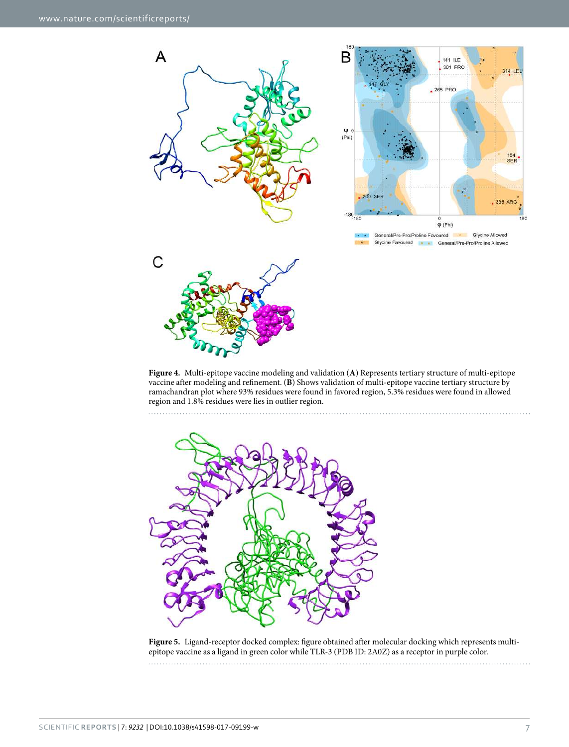

**Figure 4.** Multi-epitope vaccine modeling and validation (**A**) Represents tertiary structure of multi-epitope vaccine after modeling and refinement. (**B**) Shows validation of multi-epitope vaccine tertiary structure by ramachandran plot where 93% residues were found in favored region, 5.3% residues were found in allowed region and 1.8% residues were lies in outlier region.



**Figure 5.** Ligand-receptor docked complex: figure obtained after molecular docking which represents multiepitope vaccine as a ligand in green color while TLR-3 (PDB ID: 2A0Z) as a receptor in purple color.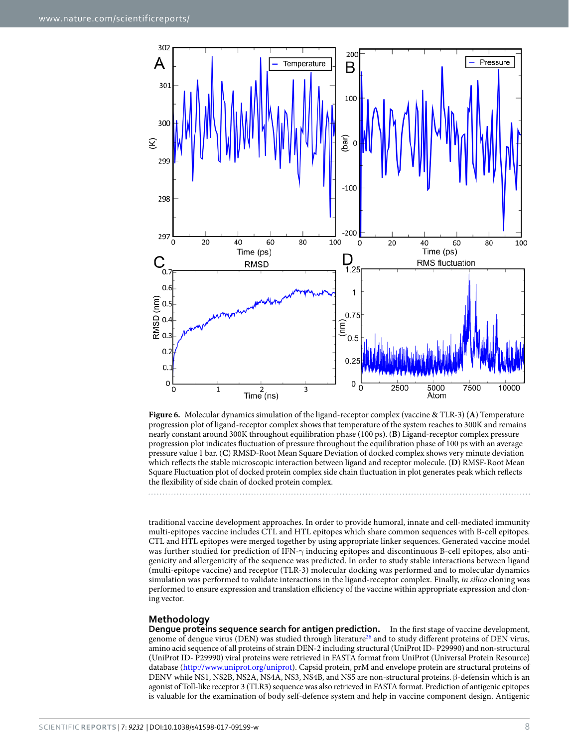

**Figure 6.** Molecular dynamics simulation of the ligand-receptor complex (vaccine & TLR-3) (**A**) Temperature progression plot of ligand-receptor complex shows that temperature of the system reaches to 300K and remains nearly constant around 300K throughout equilibration phase (100 ps). (**B**) Ligand-receptor complex pressure progression plot indicates fluctuation of pressure throughout the equilibration phase of 100 ps with an average pressure value 1 bar. (**C**) RMSD-Root Mean Square Deviation of docked complex shows very minute deviation which reflects the stable microscopic interaction between ligand and receptor molecule. (**D**) RMSF-Root Mean Square Fluctuation plot of docked protein complex side chain fluctuation in plot generates peak which reflects the flexibility of side chain of docked protein complex.

traditional vaccine development approaches. In order to provide humoral, innate and cell-mediated immunity multi-epitopes vaccine includes CTL and HTL epitopes which share common sequences with B-cell epitopes. CTL and HTL epitopes were merged together by using appropriate linker sequences. Generated vaccine model was further studied for prediction of IFN-γ inducing epitopes and discontinuous B-cell epitopes, also antigenicity and allergenicity of the sequence was predicted. In order to study stable interactions between ligand (multi-epitope vaccine) and receptor (TLR-3) molecular docking was performed and to molecular dynamics simulation was performed to validate interactions in the ligand-receptor complex. Finally, in silico cloning was performed to ensure expression and translation efficiency of the vaccine within appropriate expression and cloning vector.

### **Methodology**

**Dengue proteins sequence search for antigen prediction.** In the first stage of vaccine development, genome of dengue virus (DEN) was studied through literature<sup>26</sup> and to study different proteins of DEN virus, amino acid sequence of all proteins of strain DEN-2 including structural (UniProt ID- P29990) and non-structural (UniProt ID- P29990) viral proteins were retrieved in FASTA format from UniProt (Universal Protein Resource) database (http://www.uniprot.org/uniprot). Capsid protein, prM and envelope protein are structural proteins of DENV while NS1, NS2B, NS2A, NS4A, NS3, NS4B, and NS5 are non-structural proteins. β-defensin which is an agonist of Toll-like receptor 3 (TLR3) sequence was also retrieved in FASTA format. Prediction of antigenic epitopes is valuable for the examination of body self-defence system and help in vaccine component design. Antigenic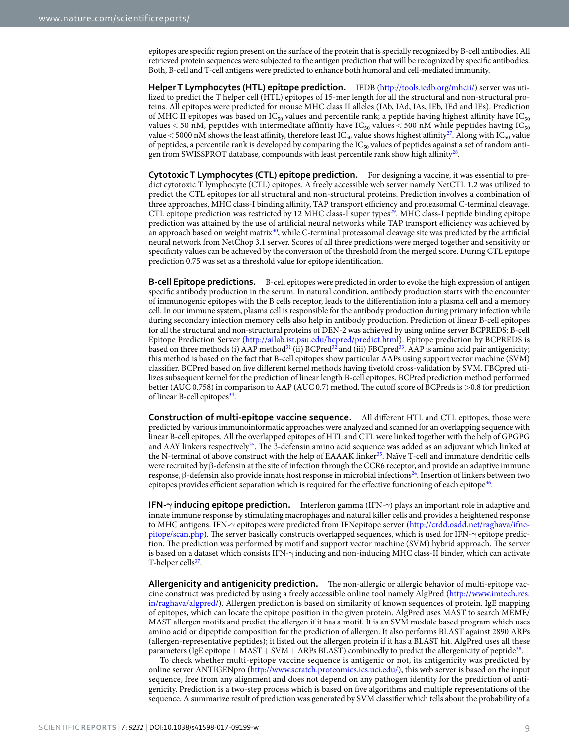epitopes are specific region present on the surface of the protein that is specially recognized by B-cell antibodies. All retrieved protein sequences were subjected to the antigen prediction that will be recognized by specific antibodies. Both, B-cell and T-cell antigens were predicted to enhance both humoral and cell-mediated immunity.

**Helper T Lymphocytes (HTL) epitope prediction.** IEDB (http://tools.iedb.org/mhcii/) server was utilized to predict the T helper cell (HTL) epitopes of 15-mer length for all the structural and non-structural proteins. All epitopes were predicted for mouse MHC class II alleles (IAb, IAd, IAs, IEb, IEd and IEs). Prediction of MHC II epitopes was based on IC<sub>50</sub> values and percentile rank; a peptide having highest affinity have IC<sub>50</sub> values < 50 nM, peptides with intermediate affinity have  $IC_{50}$  values < 500 nM while peptides having  $IC_{50}$ value  $<$  5000 nM shows the least affinity, therefore least IC<sub>50</sub> value shows highest affinity<sup>27</sup>. Along with IC<sub>50</sub> value of peptides, a percentile rank is developed by comparing the IC<sub>50</sub> values of peptides against a set of random antigen from SWISSPROT database, compounds with least percentile rank show high affinity<sup>28</sup>.

**Cytotoxic T Lymphocytes (CTL) epitope prediction.** For designing a vaccine, it was essential to predict cytotoxic T lymphocyte (CTL) epitopes. A freely accessible web server namely NetCTL 1.2 was utilized to predict the CTL epitopes for all structural and non-structural proteins. Prediction involves a combination of three approaches, MHC class-I binding affinity, TAP transport efficiency and proteasomal C-terminal cleavage. CTL epitope prediction was restricted by 12 MHC class-I super types<sup>29</sup>. MHC class-I peptide binding epitope prediction was attained by the use of artificial neural networks while TAP transport efficiency was achieved by an approach based on weight matrix $30$ , while C-terminal proteasomal cleavage site was predicted by the artificial neural network from NetChop 3.1 server. Scores of all three predictions were merged together and sensitivity or specificity values can be achieved by the conversion of the threshold from the merged score. During CTL epitope prediction 0.75 was set as a threshold value for epitope identification.

**B-cell Epitope predictions.** B-cell epitopes were predicted in order to evoke the high expression of antigen specific antibody production in the serum. In natural condition, antibody production starts with the encounter of immunogenic epitopes with the B cells receptor, leads to the differentiation into a plasma cell and a memory cell. In our immune system, plasma cell is responsible for the antibody production during primary infection while during secondary infection memory cells also help in antibody production. Prediction of linear B-cell epitopes for all the structural and non-structural proteins of DEN-2 was achieved by using online server BCPREDS: B-cell Epitope Prediction Server (http://ailab.ist.psu.edu/bcpred/predict.html). Epitope prediction by BCPREDS is based on three methods (i) AAP method<sup>31</sup> (ii) BCPred<sup>32</sup> and (iii) FBCpred<sup>33</sup>. AAP is amino acid pair antigenicity; this method is based on the fact that B-cell epitopes show particular AAPs using support vector machine (SVM) classifier. BCPred based on five different kernel methods having fivefold cross-validation by SVM. FBCpred utilizes subsequent kernel for the prediction of linear length B-cell epitopes. BCPred prediction method performed better (AUC 0.758) in comparison to AAP (AUC 0.7) method. The cutoff score of BCPreds is >0.8 for prediction of linear B-cell epitopes<sup>34</sup>.

**Construction of multi-epitope vaccine sequence.** All different HTL and CTL epitopes, those were predicted by various immunoinformatic approaches were analyzed and scanned for an overlapping sequence with linear B-cell epitopes. All the overlapped epitopes of HTL and CTL were linked together with the help of GPGPG and AAY linkers respectively<sup>35</sup>. The β-defensin amino acid sequence was added as an adjuvant which linked at the N-terminal of above construct with the help of EAAAK linker<sup>35</sup>. Naïve T-cell and immature dendritic cells were recruited by β-defensin at the site of infection through the CCR6 receptor, and provide an adaptive immune response, β-defensin also provide innate host response in microbial infections<sup>24</sup>. Insertion of linkers between two epitopes provides efficient separation which is required for the effective functioning of each epitope<sup>36</sup>.

**IFN-γ inducing epitope prediction.** Interferon gamma (IFN-γ) plays an important role in adaptive and innate immune response by stimulating macrophages and natural killer cells and provides a heightened response to MHC antigens. IFN-γ epitopes were predicted from IFNepitope server (http://crdd.osdd.net/raghava/ifnepitope/scan.php). The server basically constructs overlapped sequences, which is used for IFN-γ epitope prediction. The prediction was performed by motif and support vector machine (SVM) hybrid approach. The server is based on a dataset which consists IFN-γ inducing and non-inducing MHC class-II binder, which can activate T-helper cells<sup>37</sup>.

**Allergenicity and antigenicity prediction.** The non-allergic or allergic behavior of multi-epitope vaccine construct was predicted by using a freely accessible online tool namely AlgPred (http://www.imtech.res. in/raghava/algpred/). Allergen prediction is based on similarity of known sequences of protein. IgE mapping of epitopes, which can locate the epitope position in the given protein. AlgPred uses MAST to search MEME/ MAST allergen motifs and predict the allergen if it has a motif. It is an SVM module based program which uses amino acid or dipeptide composition for the prediction of allergen. It also performs BLAST against 2890 ARPs (allergen-representative peptides); it listed out the allergen protein if it has a BLAST hit. AlgPred uses all these parameters (IgE epitope  $+$  MAST  $+$  SVM  $+$  ARPs BLAST) combinedly to predict the allergenicity of peptide<sup>38</sup>.

To check whether multi-epitope vaccine sequence is antigenic or not, its antigenicity was predicted by online server ANTIGENpro (http://www.scratch.proteomics.ics.uci.edu/), this web server is based on the input sequence, free from any alignment and does not depend on any pathogen identity for the prediction of antigenicity. Prediction is a two-step process which is based on five algorithms and multiple representations of the sequence. A summarize result of prediction was generated by SVM classifier which tells about the probability of a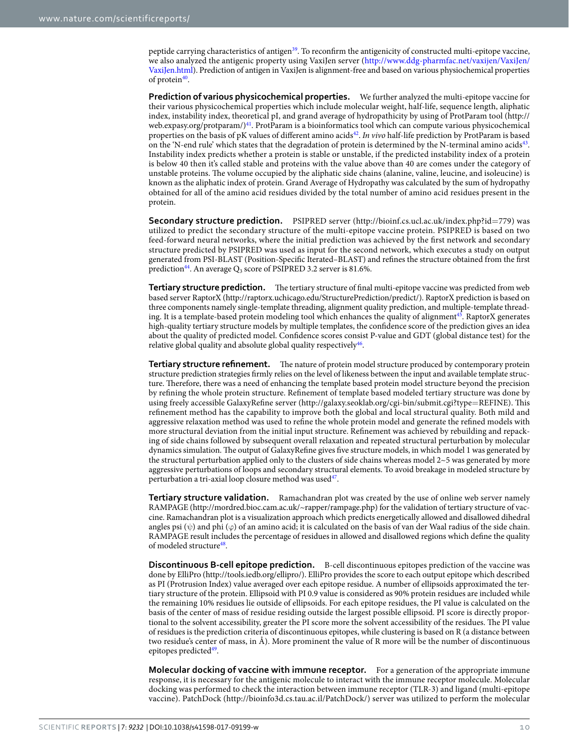peptide carrying characteristics of antigen<sup>39</sup>. To reconfirm the antigenicity of constructed multi-epitope vaccine, we also analyzed the antigenic property using VaxiJen server (http://www.ddg-pharmfac.net/vaxijen/VaxiJen/ VaxiJen.html). Prediction of antigen in VaxiJen is alignment-free and based on various physiochemical properties of protein<sup>40</sup>.

**Prediction of various physicochemical properties.** We further analyzed the multi-epitope vaccine for their various physicochemical properties which include molecular weight, half-life, sequence length, aliphatic index, instability index, theoretical pI, and grand average of hydropathicity by using of ProtParam tool (http:// web.expasy.org/protparam/)<sup>41</sup>. ProtParam is a bioinformatics tool which can compute various physicochemical properties on the basis of pK values of different amino acids<sup>42</sup>. In vivo half-life prediction by ProtParam is based on the 'N-end rule' which states that the degradation of protein is determined by the N-terminal amino acids<sup>43</sup>. Instability index predicts whether a protein is stable or unstable, if the predicted instability index of a protein is below 40 then it's called stable and proteins with the value above than 40 are comes under the category of unstable proteins. The volume occupied by the aliphatic side chains (alanine, valine, leucine, and isoleucine) is known as the aliphatic index of protein. Grand Average of Hydropathy was calculated by the sum of hydropathy obtained for all of the amino acid residues divided by the total number of amino acid residues present in the protein.

**Secondary structure prediction.** PSIPRED server (http://bioinf.cs.ucl.ac.uk/index.php?id=779) was utilized to predict the secondary structure of the multi-epitope vaccine protein. PSIPRED is based on two feed-forward neural networks, where the initial prediction was achieved by the first network and secondary structure predicted by PSIPRED was used as input for the second network, which executes a study on output generated from PSI-BLAST (Position-Specific Iterated–BLAST) and refines the structure obtained from the first prediction $^{44}$ . An average  $Q_3$  score of PSIPRED 3.2 server is 81.6%.

**Tertiary structure prediction.** The tertiary structure of final multi-epitope vaccine was predicted from web based server RaptorX (http://raptorx.uchicago.edu/StructurePrediction/predict/). RaptorX prediction is based on three components namely single-template threading, alignment quality prediction, and multiple-template threading. It is a template-based protein modeling tool which enhances the quality of alignment <sup>45</sup>. RaptorX generates high-quality tertiary structure models by multiple templates, the confidence score of the prediction gives an idea about the quality of predicted model. Confidence scores consist P-value and GDT (global distance test) for the relative global quality and absolute global quality respectively<sup>46</sup>.

**Tertiary structure refinement.** The nature of protein model structure produced by contemporary protein structure prediction strategies firmly relies on the level of likeness between the input and available template structure. Therefore, there was a need of enhancing the template based protein model structure beyond the precision by refining the whole protein structure. Refinement of template based modeled tertiary structure was done by using freely accessible GalaxyRefine server (http://galaxy.seoklab.org/cgi-bin/submit.cgi?type=REFINE). This refinement method has the capability to improve both the global and local structural quality. Both mild and aggressive relaxation method was used to refine the whole protein model and generate the refined models with more structural deviation from the initial input structure. Refinement was achieved by rebuilding and repacking of side chains followed by subsequent overall relaxation and repeated structural perturbation by molecular dynamics simulation. The output of GalaxyRefine gives five structure models, in which model 1 was generated by the structural perturbation applied only to the clusters of side chains whereas model 2~5 was generated by more aggressive perturbations of loops and secondary structural elements. To avoid breakage in modeled structure by perturbation a tri-axial loop closure method was used<sup>47</sup>.

**Tertiary structure validation.** Ramachandran plot was created by the use of online web server namely RAMPAGE (http://mordred.bioc.cam.ac.uk/~rapper/rampage.php) for the validation of tertiary structure of vaccine. Ramachandran plot is a visualization approach which predicts energetically allowed and disallowed dihedral angles psi  $(\psi)$  and phi  $(\varphi)$  of an amino acid; it is calculated on the basis of van der Waal radius of the side chain. RAMPAGE result includes the percentage of residues in allowed and disallowed regions which define the quality of modeled structure<sup>48</sup>.

**Discontinuous B-cell epitope prediction.** B-cell discontinuous epitopes prediction of the vaccine was done by ElliPro (http://tools.iedb.org/ellipro/). ElliPro provides the score to each output epitope which described as PI (Protrusion Index) value averaged over each epitope residue. A number of ellipsoids approximated the tertiary structure of the protein. Ellipsoid with PI 0.9 value is considered as 90% protein residues are included while the remaining 10% residues lie outside of ellipsoids. For each epitope residues, the PI value is calculated on the basis of the center of mass of residue residing outside the largest possible ellipsoid. PI score is directly proportional to the solvent accessibility, greater the PI score more the solvent accessibility of the residues. The PI value of residues is the prediction criteria of discontinuous epitopes, while clustering is based on R (a distance between two residue's center of mass, in Å). More prominent the value of R more will be the number of discontinuous epitopes predicted<sup>49</sup>.

**Molecular docking of vaccine with immune receptor.** For a generation of the appropriate immune response, it is necessary for the antigenic molecule to interact with the immune receptor molecule. Molecular docking was performed to check the interaction between immune receptor (TLR-3) and ligand (multi-epitope vaccine). PatchDock (http://bioinfo3d.cs.tau.ac.il/PatchDock/) server was utilized to perform the molecular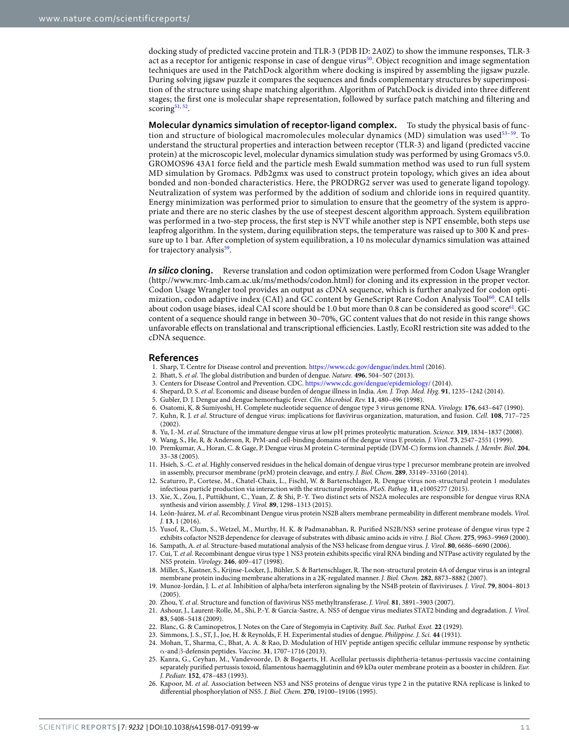docking study of predicted vaccine protein and TLR-3 (PDB ID: 2A0Z) to show the immune responses, TLR-3 act as a receptor for antigenic response in case of dengue virus<sup>50</sup>. Object recognition and image segmentation techniques are used in the PatchDock algorithm where docking is inspired by assembling the jigsaw puzzle. During solving jigsaw puzzle it compares the sequences and finds complementary structures by superimposition of the structure using shape matching algorithm. Algorithm of PatchDock is divided into three different stages; the first one is molecular shape representation, followed by surface patch matching and filtering and scoring<sup>51, 52</sup>.

**Molecular dynamics simulation of receptor-ligand complex.** To study the physical basis of function and structure of biological macromolecules molecular dynamics (MD) simulation was used53–59. To understand the structural properties and interaction between receptor (TLR-3) and ligand (predicted vaccine protein) at the microscopic level, molecular dynamics simulation study was performed by using Gromacs v5.0. GROMOS96 43A1 force field and the particle mesh Ewald summation method was used to run full system MD simulation by Gromacs. Pdb2gmx was used to construct protein topology, which gives an idea about bonded and non-bonded characteristics. Here, the PRODRG2 server was used to generate ligand topology. Neutralization of system was performed by the addition of sodium and chloride ions in required quantity. Energy minimization was performed prior to simulation to ensure that the geometry of the system is appropriate and there are no steric clashes by the use of steepest descent algorithm approach. System equilibration was performed in a two-step process, the first step is NVT while another step is NPT ensemble, both steps use leapfrog algorithm. In the system, during equilibration steps, the temperature was raised up to 300 K and pressure up to 1 bar. After completion of system equilibration, a 10 ns molecular dynamics simulation was attained for trajectory analysis<sup>59</sup>.

*In silico* **cloning.** Reverse translation and codon optimization were performed from Codon Usage Wrangler (http://www.mrc-lmb.cam.ac.uk/ms/methods/codon.html) for cloning and its expression in the proper vector. Codon Usage Wrangler tool provides an output as cDNA sequence, which is further analyzed for codon optimization, codon adaptive index (CAI) and GC content by GeneScript Rare Codon Analysis Tool<sup>60</sup>. CAI tells about codon usage biases, ideal CAI score should be 1.0 but more than 0.8 can be considered as good score<sup>61</sup>. GC content of a sequence should range in between 30–70%, GC content values that do not reside in this range shows unfavorable effects on translational and transcriptional efficiencies. Lastly, EcoRI restriction site was added to the cDNA sequence.

#### **References**

- 1. Sharp, T. Centre for Disease control and prevention. https://www.cdc.gov/dengue/index.html (2016).
- 2. Bhatt, S. et al. The global distribution and burden of dengue. Nature. **496**, 504–507 (2013).
- 3. Centers for Disease Control and Prevention. CDC. https://www.cdc.gov/dengue/epidemiology/ (2014).
- 4. Shepard, D. S. et al. Economic and disease burden of dengue illness in India. Am. J. Trop. Med. Hyg. **91**, 1235–1242 (2014).
- 5. Gubler, D. J. Dengue and dengue hemorrhagic fever. Clin. Microbiol. Rev. **11**, 480–496 (1998).
- 6. Osatomi, K. & Sumiyoshi, H. Complete nucleotide sequence of dengue type 3 virus genome RNA. Virology. **176**, 643–647 (1990).
- 7. Kuhn, R. J. et al. Structure of dengue virus: implications for flavivirus organization, maturation, and fusion. Cell. **108**, 717–725  $(2002)$
- 8. Yu, I.-M. et al. Structure of the immature dengue virus at low pH primes proteolytic maturation. Science. **319**, 1834–1837 (2008).
- 9. Wang, S., He, R. & Anderson, R. PrM-and cell-binding domains of the dengue virus E protein. J. Virol. **73**, 2547–2551 (1999).
- 10. Premkumar, A., Horan, C. & Gage, P. Dengue virus M protein C-terminal peptide (DVM-C) forms ion channels. J. Membr. Biol. **204**, 33–38 (2005).
- 11. Hsieh, S.-C. et al. Highly conserved residues in the helical domain of dengue virus type 1 precursor membrane protein are involved in assembly, precursor membrane (prM) protein cleavage, and entry. J. Biol. Chem. **289**, 33149–33160 (2014).
- 12. Scaturro, P., Cortese, M., Chatel-Chaix, L., Fischl, W. & Bartenschlager, R. Dengue virus non-structural protein 1 modulates infectious particle production via interaction with the structural proteins. PLoS. Pathog. **11**, e1005277 (2015).
- 13. Xie, X., Zou, J., Puttikhunt, C., Yuan, Z. & Shi, P.-Y. Two distinct sets of NS2A molecules are responsible for dengue virus RNA synthesis and virion assembly. J. Virol. **89**, 1298–1313 (2015).
- 14. León-Juárez, M. et al. Recombinant Dengue virus protein NS2B alters membrane permeability in different membrane models. Virol. J. **13**, 1 (2016).
- 15. Yusof, R., Clum, S., Wetzel, M., Murthy, H. K. & Padmanabhan, R. Purified NS2B/NS3 serine protease of dengue virus type 2 exhibits cofactor NS2B dependence for cleavage of substrates with dibasic amino acids in vitro. J. Biol. Chem. **275**, 9963–9969 (2000).
- 16. Sampath, A. et al. Structure-based mutational analysis of the NS3 helicase from dengue virus. J. Virol. **80**, 6686–6690 (2006).
- 17. Cui, T. et al. Recombinant dengue virus type 1 NS3 protein exhibits specific viral RNA binding and NTPase activity regulated by the NS5 protein. Virology. **246**, 409–417 (1998).
- 18. Miller, S., Kastner, S., Krijnse-Locker, J., Bühler, S. & Bartenschlager, R. The non-structural protein 4A of dengue virus is an integral membrane protein inducing membrane alterations in a 2K-regulated manner. J. Biol. Chem. **282**, 8873–8882 (2007).
- 19. Munoz-Jordán, J. L. et al. Inhibition of alpha/beta interferon signaling by the NS4B protein of flaviviruses. J. Virol. **79**, 8004–8013  $(2005)$
- 20. Zhou, Y. et al. Structure and function of flavivirus NS5 methyltransferase. J. Virol. **81**, 3891–3903 (2007).
- 21. Ashour, J., Laurent-Rolle, M., Shi, P.-Y. & García-Sastre, A. NS5 of dengue virus mediates STAT2 binding and degradation. J. Virol. **83**, 5408–5418 (2009).
- 22. Blanc, G. & Caminopetros, J. Notes on the Care of Stegomyia in Captivity. Bull. Soc. Pathol. Exot. **22** (1929).
- 23. Simmons, J. S., ST, J., Joe, H. & Reynolds, F. H. Experimental studies of dengue. Philippine. J. Sci. **44** (1931).
- 24. Mohan, T., Sharma, C., Bhat, A. A. & Rao, D. Modulation of HIV peptide antigen specific cellular immune response by synthetic α-and β-defensin peptides. Vaccine. **31**, 1707–1716 (2013).
- 25. Kanra, G., Ceyhan, M., Vandevoorde, D. & Bogaerts, H. Acellular pertussis diphtheria-tetanus-pertussis vaccine containing separately purified pertussis toxoid, filamentous haemagglutinin and 69 kDa outer membrane protein as a booster in children. Eur. J. Pediatr. **152**, 478–483 (1993).
- 26. Kapoor, M. et al. Association between NS3 and NS5 proteins of dengue virus type 2 in the putative RNA replicase is linked to differential phosphorylation of NS5. J. Biol. Chem. **270**, 19100–19106 (1995).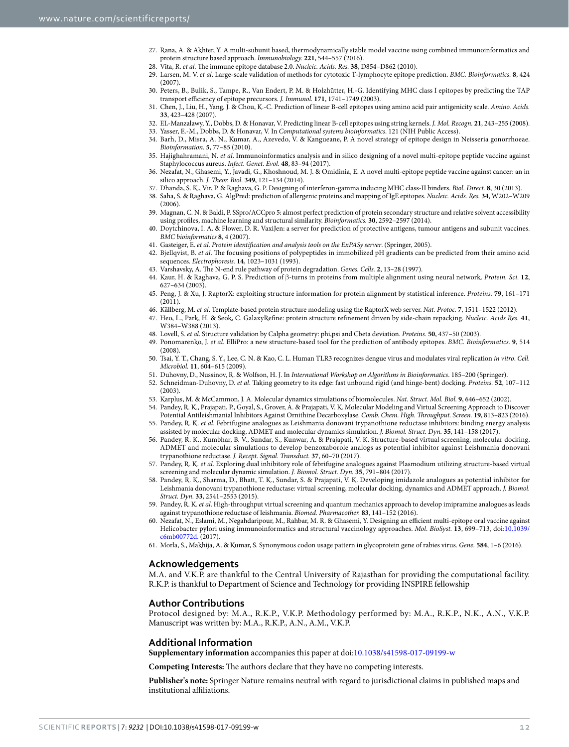- 27. Rana, A. & Akhter, Y. A multi-subunit based, thermodynamically stable model vaccine using combined immunoinformatics and protein structure based approach. Immunobiology. **221**, 544–557 (2016).
- 28. Vita, R. et al. The immune epitope database 2.0. Nucleic. Acids. Res. **38**, D854–D862 (2010).
- 29. Larsen, M. V. et al. Large-scale validation of methods for cytotoxic T-lymphocyte epitope prediction. BMC. Bioinformatics. **8**, 424 (2007).
- 30. Peters, B., Bulik, S., Tampe, R., Van Endert, P. M. & Holzhütter, H.-G. Identifying MHC class I epitopes by predicting the TAP transport efficiency of epitope precursors. J. Immunol. **171**, 1741–1749 (2003).
- 31. Chen, J., Liu, H., Yang, J. & Chou, K.-C. Prediction of linear B-cell epitopes using amino acid pair antigenicity scale. Amino. Acids. **33**, 423–428 (2007).
- 32. EL‐Manzalawy, Y., Dobbs, D. & Honavar, V. Predicting linear B‐cell epitopes using string kernels. J. Mol. Recogn. **21**, 243–255 (2008).
- 33. Yasser, E.-M., Dobbs, D. & Honavar, V. In Computational systems bioinformatics. 121 (NIH Public Access).
- 34. Barh, D., Misra, A. N., Kumar, A., Azevedo, V. & Kangueane, P. A novel strategy of epitope design in Neisseria gonorrhoeae. Bioinformation. **5**, 77–85 (2010).
- 35. Hajighahramani, N. et al. Immunoinformatics analysis and in silico designing of a novel multi-epitope peptide vaccine against Staphylococcus aureus. Infect. Genet. Evol. **48**, 83–94 (2017).
- 36. Nezafat, N., Ghasemi, Y., Javadi, G., Khoshnoud, M. J. & Omidinia, E. A novel multi-epitope peptide vaccine against cancer: an in silico approach. J. Theor. Biol. **349**, 121–134 (2014).
- 37. Dhanda, S. K., Vir, P. & Raghava, G. P. Designing of interferon-gamma inducing MHC class-II binders. Biol. Direct. **8**, 30 (2013).
- 38. Saha, S. & Raghava, G. AlgPred: prediction of allergenic proteins and mapping of IgE epitopes. Nucleic. Acids. Res. **34**, W202–W209  $(2006)$
- 39. Magnan, C. N. & Baldi, P. SSpro/ACCpro 5: almost perfect prediction of protein secondary structure and relative solvent accessibility using profiles, machine learning and structural similarity. Bioinformatics. **30**, 2592–2597 (2014).
- 40. Doytchinova, I. A. & Flower, D. R. VaxiJen: a server for prediction of protective antigens, tumour antigens and subunit vaccines. BMC bioinformatics **8**, 4 (2007).
- 41. Gasteiger, E. et al. Protein identification and analysis tools on the ExPASy server. (Springer, 2005).
- 42. Bjellqvist, B. et al. The focusing positions of polypeptides in immobilized pH gradients can be predicted from their amino acid sequences. Electrophoresis. **14**, 1023–1031 (1993).
- 43. Varshavsky, A. The N‐end rule pathway of protein degradation. Genes. Cells. **2**, 13–28 (1997).
- 44. Kaur, H. & Raghava, G. P. S. Prediction of β‐turns in proteins from multiple alignment using neural network. Protein. Sci. **12**, 627–634 (2003).
- 45. Peng, J. & Xu, J. RaptorX: exploiting structure information for protein alignment by statistical inference. Proteins. **79**, 161–171 (2011).
- 46. Källberg, M. et al. Template-based protein structure modeling using the RaptorX web server. Nat. Protoc. **7**, 1511–1522 (2012).
- 47. Heo, L., Park, H. & Seok, C. GalaxyRefine: protein structure refinement driven by side-chain repacking. Nucleic. Acids Res. **41**, W384–W388 (2013).
- 48. Lovell, S. et al. Structure validation by Calpha geometry: phi,psi and Cbeta deviation. Proteins. **50**, 437–50 (2003).
- 49. Ponomarenko, J. et al. ElliPro: a new structure-based tool for the prediction of antibody epitopes. BMC. Bioinformatics. **9**, 514 (2008).
- 50. Tsai, Y. T., Chang, S. Y., Lee, C. N. & Kao, C. L. Human TLR3 recognizes dengue virus and modulates viral replication in vitro. Cell. Microbiol. **11**, 604–615 (2009).
- 51. Duhovny, D., Nussinov, R. & Wolfson, H. J. In International Workshop on Algorithms in Bioinformatics. 185–200 (Springer).
- 52. Schneidman‐Duhovny, D. et al. Taking geometry to its edge: fast unbound rigid (and hinge‐bent) docking. Proteins. **52**, 107–112 (2003).
- 53. Karplus, M. & McCammon, J. A. Molecular dynamics simulations of biomolecules. Nat. Struct. Mol. Biol. **9**, 646–652 (2002).
- 54. Pandey, R. K., Prajapati, P., Goyal, S., Grover, A. & Prajapati, V. K. Molecular Modeling and Virtual Screening Approach to Discover Potential Antileishmanial Inhibitors Against Ornithine Decarboxylase. Comb. Chem. High. Throughput. Screen. **19**, 813–823 (2016).
- 55. Pandey, R. K. et al. Febrifugine analogues as Leishmania donovani trypanothione reductase inhibitors: binding energy analysis assisted by molecular docking, ADMET and molecular dynamics simulation. J. Biomol. Struct. Dyn. **35**, 141–158 (2017).
- 56. Pandey, R. K., Kumbhar, B. V., Sundar, S., Kunwar, A. & Prajapati, V. K. Structure-based virtual screening, molecular docking, ADMET and molecular simulations to develop benzoxaborole analogs as potential inhibitor against Leishmania donovani trypanothione reductase. J. Recept. Signal. Transduct. **37**, 60–70 (2017).
- 57. Pandey, R. K. et al. Exploring dual inhibitory role of febrifugine analogues against Plasmodium utilizing structure-based virtual screening and molecular dynamic simulation. J. Biomol. Struct. Dyn. **35**, 791–804 (2017).
- 58. Pandey, R. K., Sharma, D., Bhatt, T. K., Sundar, S. & Prajapati, V. K. Developing imidazole analogues as potential inhibitor for Leishmania donovani trypanothione reductase: virtual screening, molecular docking, dynamics and ADMET approach. J. Biomol. Struct. Dyn. **33**, 2541–2553 (2015).
- 59. Pandey, R. K. et al. High-throughput virtual screening and quantum mechanics approach to develop imipramine analogues as leads against trypanothione reductase of leishmania. Biomed. Pharmacother. **83**, 141–152 (2016).
- 60. Nezafat, N., Eslami, M., Negahdaripour, M., Rahbar, M. R. & Ghasemi, Y. Designing an efficient multi-epitope oral vaccine against Helicobacter pylori using immunoinformatics and structural vaccinology approaches. Mol. BioSyst. **13**, 699–713, doi:10.1039/ c6mb00772d. (2017).
- 61. Morla, S., Makhija, A. & Kumar, S. Synonymous codon usage pattern in glycoprotein gene of rabies virus. Gene. **584**, 1–6 (2016).

#### **Acknowledgements**

M.A. and V.K.P. are thankful to the Central University of Rajasthan for providing the computational facility. R.K.P. is thankful to Department of Science and Technology for providing INSPIRE fellowship

#### **Author Contributions**

Protocol designed by: M.A., R.K.P., V.K.P. Methodology performed by: M.A., R.K.P., N.K., A.N., V.K.P. Manuscript was written by: M.A., R.K.P., A.N., A.M., V.K.P.

#### **Additional Information**

**Supplementary information** accompanies this paper at doi:10.1038/s41598-017-09199-w

**Competing Interests:** The authors declare that they have no competing interests.

**Publisher's note:** Springer Nature remains neutral with regard to jurisdictional claims in published maps and institutional affiliations.